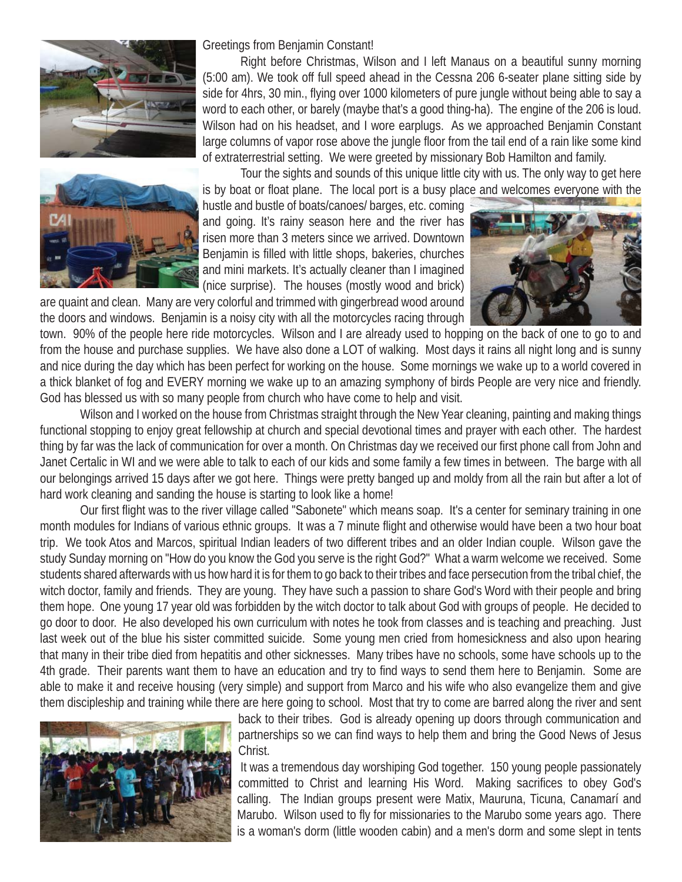



Greetings from Benjamin Constant!

 Right before Christmas, Wilson and I left Manaus on a beautiful sunny morning (5:00 am). We took off full speed ahead in the Cessna 206 6-seater plane sitting side by side for 4hrs, 30 min., flying over 1000 kilometers of pure jungle without being able to say a word to each other, or barely (maybe that's a good thing-ha). The engine of the 206 is loud. Wilson had on his headset, and I wore earplugs. As we approached Benjamin Constant large columns of vapor rose above the jungle floor from the tail end of a rain like some kind of extraterrestrial setting. We were greeted by missionary Bob Hamilton and family.

 Tour the sights and sounds of this unique little city with us. The only way to get here is by boat or float plane. The local port is a busy place and welcomes everyone with the

hustle and bustle of boats/canoes/ barges, etc. coming and going. It's rainy season here and the river has risen more than 3 meters since we arrived. Downtown Benjamin is filled with little shops, bakeries, churches and mini markets. It's actually cleaner than I imagined (nice surprise). The houses (mostly wood and brick)

are quaint and clean. Many are very colorful and trimmed with gingerbread wood around the doors and windows. Benjamin is a noisy city with all the motorcycles racing through



town. 90% of the people here ride motorcycles. Wilson and I are already used to hopping on the back of one to go to and from the house and purchase supplies. We have also done a LOT of walking. Most days it rains all night long and is sunny and nice during the day which has been perfect for working on the house. Some mornings we wake up to a world covered in a thick blanket of fog and EVERY morning we wake up to an amazing symphony of birds People are very nice and friendly. God has blessed us with so many people from church who have come to help and visit.

Wilson and I worked on the house from Christmas straight through the New Year cleaning, painting and making things functional stopping to enjoy great fellowship at church and special devotional times and prayer with each other. The hardest thing by far was the lack of communication for over a month. On Christmas day we received our first phone call from John and Janet Certalic in WI and we were able to talk to each of our kids and some family a few times in between. The barge with all our belongings arrived 15 days after we got here. Things were pretty banged up and moldy from all the rain but after a lot of hard work cleaning and sanding the house is starting to look like a home!

Our first flight was to the river village called "Sabonete" which means soap. It's a center for seminary training in one month modules for Indians of various ethnic groups. It was a 7 minute flight and otherwise would have been a two hour boat trip. We took Atos and Marcos, spiritual Indian leaders of two different tribes and an older Indian couple. Wilson gave the study Sunday morning on "How do you know the God you serve is the right God?" What a warm welcome we received. Some students shared afterwards with us how hard it is for them to go back to their tribes and face persecution from the tribal chief, the witch doctor, family and friends. They are young. They have such a passion to share God's Word with their people and bring them hope. One young 17 year old was forbidden by the witch doctor to talk about God with groups of people. He decided to go door to door. He also developed his own curriculum with notes he took from classes and is teaching and preaching. Just last week out of the blue his sister committed suicide. Some young men cried from homesickness and also upon hearing that many in their tribe died from hepatitis and other sicknesses. Many tribes have no schools, some have schools up to the 4th grade. Their parents want them to have an education and try to find ways to send them here to Benjamin. Some are able to make it and receive housing (very simple) and support from Marco and his wife who also evangelize them and give them discipleship and training while there are here going to school. Most that try to come are barred along the river and sent



back to their tribes. God is already opening up doors through communication and partnerships so we can find ways to help them and bring the Good News of Jesus Christ.

 It was a tremendous day worshiping God together. 150 young people passionately committed to Christ and learning His Word. Making sacrifices to obey God's calling. The Indian groups present were Matix, Mauruna, Ticuna, Canamarí and Marubo. Wilson used to fly for missionaries to the Marubo some years ago. There is a woman's dorm (little wooden cabin) and a men's dorm and some slept in tents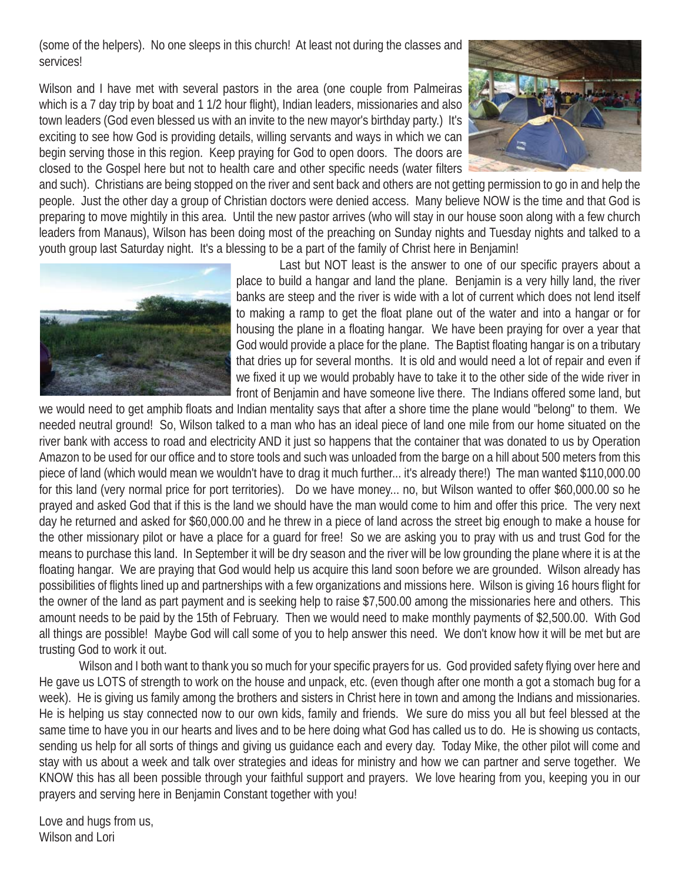(some of the helpers). No one sleeps in this church! At least not during the classes and services!

Wilson and I have met with several pastors in the area (one couple from Palmeiras which is a 7 day trip by boat and 1 1/2 hour flight), Indian leaders, missionaries and also town leaders (God even blessed us with an invite to the new mayor's birthday party.) It's exciting to see how God is providing details, willing servants and ways in which we can begin serving those in this region. Keep praying for God to open doors. The doors are closed to the Gospel here but not to health care and other specific needs (water filters



and such). Christians are being stopped on the river and sent back and others are not getting permission to go in and help the people. Just the other day a group of Christian doctors were denied access. Many believe NOW is the time and that God is preparing to move mightily in this area. Until the new pastor arrives (who will stay in our house soon along with a few church leaders from Manaus), Wilson has been doing most of the preaching on Sunday nights and Tuesday nights and talked to a youth group last Saturday night. It's a blessing to be a part of the family of Christ here in Benjamin!



Last but NOT least is the answer to one of our specific prayers about a place to build a hangar and land the plane. Benjamin is a very hilly land, the river banks are steep and the river is wide with a lot of current which does not lend itself to making a ramp to get the float plane out of the water and into a hangar or for housing the plane in a floating hangar. We have been praying for over a year that God would provide a place for the plane. The Baptist floating hangar is on a tributary that dries up for several months. It is old and would need a lot of repair and even if we fixed it up we would probably have to take it to the other side of the wide river in front of Benjamin and have someone live there. The Indians offered some land, but

we would need to get amphib floats and Indian mentality says that after a shore time the plane would "belong" to them. We needed neutral ground! So, Wilson talked to a man who has an ideal piece of land one mile from our home situated on the river bank with access to road and electricity AND it just so happens that the container that was donated to us by Operation Amazon to be used for our office and to store tools and such was unloaded from the barge on a hill about 500 meters from this piece of land (which would mean we wouldn't have to drag it much further... it's already there!) The man wanted \$110,000.00 for this land (very normal price for port territories). Do we have money... no, but Wilson wanted to offer \$60,000.00 so he prayed and asked God that if this is the land we should have the man would come to him and offer this price. The very next day he returned and asked for \$60,000.00 and he threw in a piece of land across the street big enough to make a house for the other missionary pilot or have a place for a guard for free! So we are asking you to pray with us and trust God for the means to purchase this land. In September it will be dry season and the river will be low grounding the plane where it is at the floating hangar. We are praying that God would help us acquire this land soon before we are grounded. Wilson already has possibilities of flights lined up and partnerships with a few organizations and missions here. Wilson is giving 16 hours flight for the owner of the land as part payment and is seeking help to raise \$7,500.00 among the missionaries here and others. This amount needs to be paid by the 15th of February. Then we would need to make monthly payments of \$2,500.00. With God all things are possible! Maybe God will call some of you to help answer this need. We don't know how it will be met but are trusting God to work it out.

Wilson and I both want to thank you so much for your specific prayers for us. God provided safety flying over here and He gave us LOTS of strength to work on the house and unpack, etc. (even though after one month a got a stomach bug for a week). He is giving us family among the brothers and sisters in Christ here in town and among the Indians and missionaries. He is helping us stay connected now to our own kids, family and friends. We sure do miss you all but feel blessed at the same time to have you in our hearts and lives and to be here doing what God has called us to do. He is showing us contacts, sending us help for all sorts of things and giving us guidance each and every day. Today Mike, the other pilot will come and stay with us about a week and talk over strategies and ideas for ministry and how we can partner and serve together. We KNOW this has all been possible through your faithful support and prayers. We love hearing from you, keeping you in our prayers and serving here in Benjamin Constant together with you!

Love and hugs from us, Wilson and Lori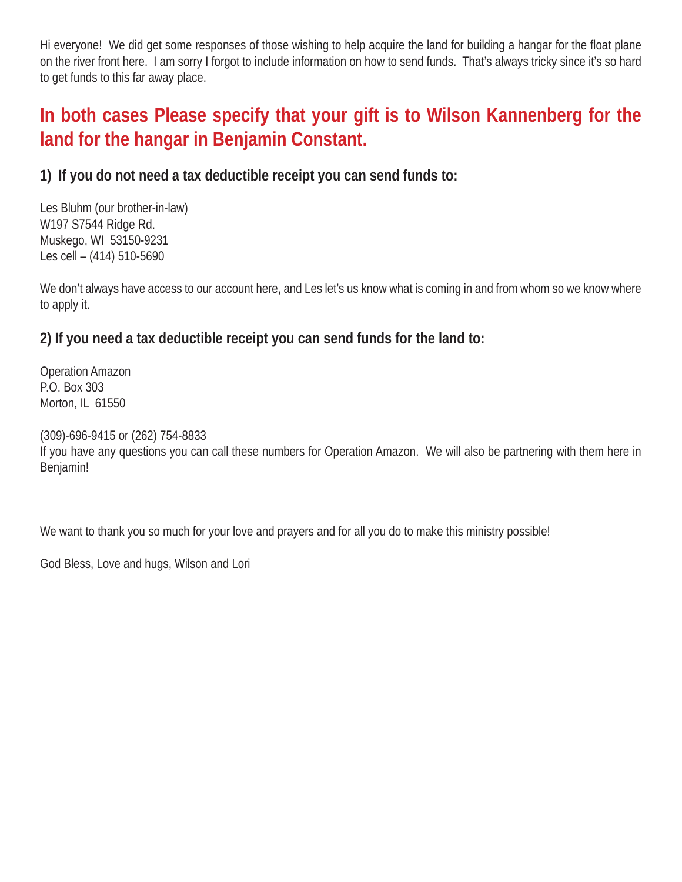Hi everyone! We did get some responses of those wishing to help acquire the land for building a hangar for the float plane on the river front here. I am sorry I forgot to include information on how to send funds. That's always tricky since it's so hard to get funds to this far away place.

### **In both cases Please specify that your gift is to Wilson Kannenberg for the land for the hangar in Benjamin Constant.**

#### **1) If you do not need a tax deductible receipt you can send funds to:**

Les Bluhm (our brother-in-law) W197 S7544 Ridge Rd. Muskego, WI 53150-9231 Les cell – (414) 510-5690

We don't always have access to our account here, and Les let's us know what is coming in and from whom so we know where to apply it.

#### **2) If you need a tax deductible receipt you can send funds for the land to:**

Operation Amazon P.O. Box 303 Morton, IL 61550

(309)-696-9415 or (262) 754-8833

If you have any questions you can call these numbers for Operation Amazon. We will also be partnering with them here in Benjamin!

We want to thank you so much for your love and prayers and for all you do to make this ministry possible!

God Bless, Love and hugs, Wilson and Lori